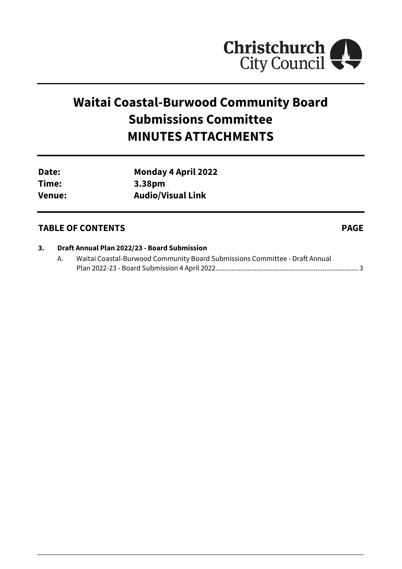

# **Waitai Coastal-Burwood Community Board Submissions Committee MINUTES ATTACHMENTS**

| Date:  | <b>Monday 4 April 2022</b> |
|--------|----------------------------|
| Time:  | 3.38pm                     |
| Venue: | <b>Audio/Visual Link</b>   |

## **TABLE OF CONTENTS PAGE**

| З. | Draft Annual Plan 2022/23 - Board Submission |
|----|----------------------------------------------|
|    |                                              |

A. Waitai Coastal-Burwood Community Board Submissions Committee - Draft Annual Plan 2022-23 - Board Submission 4 April 2022................................................................................ [3](#page-2-0)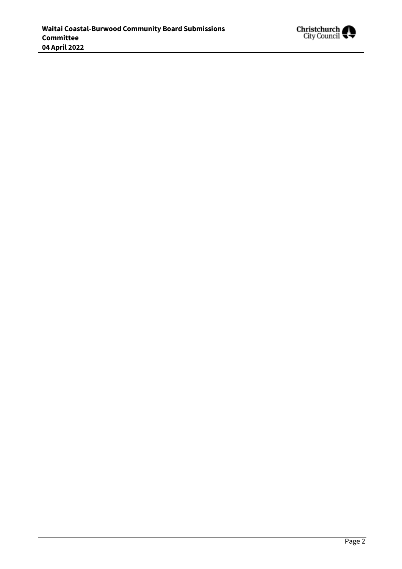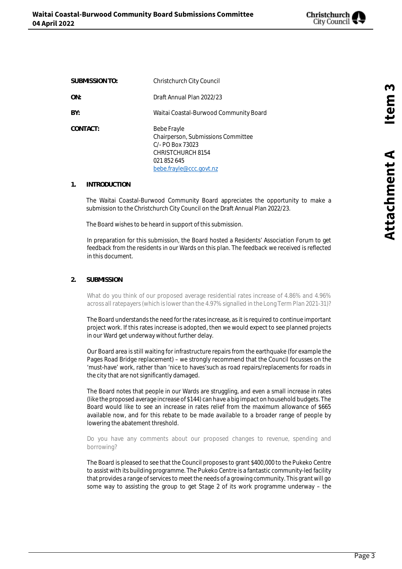<span id="page-2-0"></span>

| SUBMISSION TO: | Christchurch City Council                                                                                                              |
|----------------|----------------------------------------------------------------------------------------------------------------------------------------|
| ON:            | Draft Annual Plan 2022/23                                                                                                              |
| BY:            | Waitai Coastal-Burwood Community Board                                                                                                 |
| CONTACT:       | Bebe Frayle<br>Chairperson, Submissions Committee<br>$C/-$ PO Box 73023<br>CHRISTCHURCH 8154<br>021 852 645<br>bebe.frayle@ccc.govt.nz |

#### **1. INTRODUCTION**

The Waitai Coastal-Burwood Community Board appreciates the opportunity to make a submission to the Christchurch City Council on the Draft Annual Plan 2022/23.

The Board wishes to be heard in support of this submission.

In preparation for this submission, the Board hosted a Residents' Association Forum to get feedback from the residents in our Wards on this plan. The feedback we received is reflected in this document.

### **2. SUBMISSION**

What do you think of our proposed average residential rates increase of 4.86% and 4.96% across all ratepayers (which is lower than the 4.97% signalled in the Long Term Plan 2021-31)?

The Board understands the need for the rates increase, as it is required to continue important project work. If this rates increase is adopted, then we would expect to see planned projects in our Ward get underway without further delay.

Our Board area is still waiting for infrastructure repairs from the earthquake (for example the Pages Road Bridge replacement) – we strongly recommend that the Council focusses on the 'must-have' work, rather than 'nice to haves'such as road repairs/replacements for roads in the city that are not significantly damaged.

The Board notes that people in our Wards are struggling, and even a small increase in rates (like the proposed average increase of \$144) can have a big impact on household budgets. The Board would like to see an increase in rates relief from the maximum allowance of \$665 available now, and for this rebate to be made available to a broader range of people by lowering the abatement threshold.

Do you have any comments about our proposed changes to revenue, spending and borrowing?

The Board is pleased to see that the Council proposes to grant \$400,000 to the Pukeko Centre to assist with its building programme. The Pukeko Centre is a fantastic community-led facility that provides a range of services to meet the needs of a growing community. This grant will go some way to assisting the group to get Stage 2 of its work programme underway – the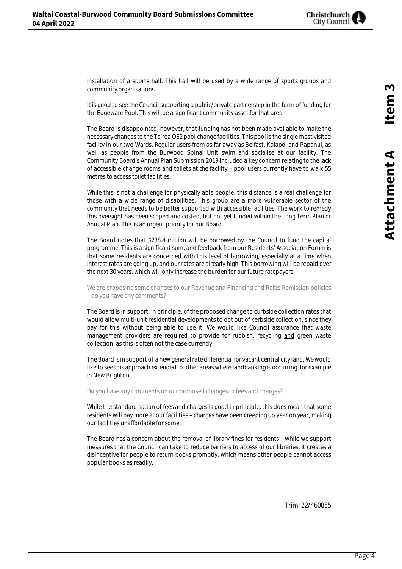installation of a sports hall. This hall will be used by a wide range of sports groups and community organisations.

It is good to see the Council supporting a public/private partnership in the form of funding for the Edgeware Pool. This will be a significant community asset for that area.

The Board is disappointed, however, that funding has not been made available to make the necessary changes to the Tairoa QE2 pool change facilities. This pool is the single most visited facility in our two Wards. Regular users from as far away as Belfast, Kaiapoi and Papanui, as well as people from the Burwood Spinal Unit swim and socialise at our facility. The Community Board's Annual Plan Submission 2019 included a key concern relating to the lack of accessible change rooms and toilets at the facility – pool users currently have to walk 55 metres to access toilet facilities.

While this is not a challenge for physically able people, this distance is a real challenge for those with a wide range of disabilities. This group are a more vulnerable sector of the community that needs to be better supported with accessible facilities. The work to remedy this oversight has been scoped and costed, but not yet funded within the Long Term Plan or Annual Plan. This is an urgent priority for our Board.

The Board notes that \$238.4 million will be borrowed by the Council to fund the capital programme. This is a significant sum, and feedback from our Residents' Association Forum is that some residents are concerned with this level of borrowing, especially at a time when interest rates are going up, and our rates are already high. This borrowing will be repaid over the next 30 years, which will only increase the burden for our future ratepayers.

We are proposing some changes to our Revenue and Financing and Rates Remission policies – do you have any comments?

The Board is in support, in principle, of the proposed change to curbside collection rates that would allow multi-unit residential developments to opt out of kerbside collection, since they pay for this without being able to use it. We would like Council assurance that waste management providers are required to provide for rubbish, recycling and green waste collection, as this is often not the case currently.

The Board is in support of a new general rate differential for vacant central city land. We would like to see this approach extended to other areas where landbanking is occurring, for example in New Brighton.

Do you have any comments on our proposed changes to fees and charges?

While the standardisation of fees and charges is good in principle, this does mean that some residents will pay more at our facilities – charges have been creeping up year on year, making our facilities unaffordable for some.

The Board has a concern about the removal of library fines for residents – while we support measures that the Council can take to reduce barriers to access of our libraries, it creates a disincentive for people to return books promptly, which means other people cannot access popular books as readily.

Trim: 22/460855